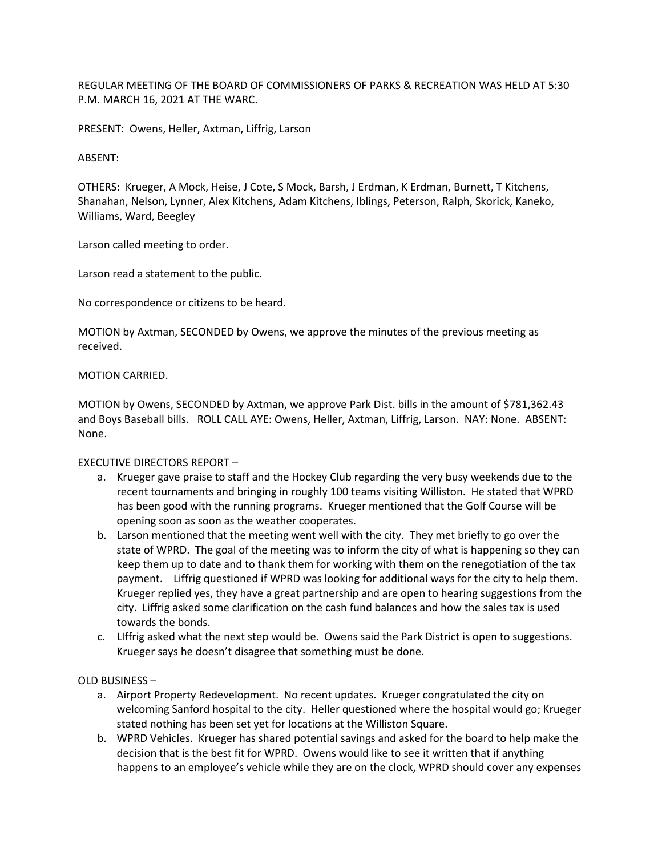REGULAR MEETING OF THE BOARD OF COMMISSIONERS OF PARKS & RECREATION WAS HELD AT 5:30 P.M. MARCH 16, 2021 AT THE WARC.

PRESENT: Owens, Heller, Axtman, Liffrig, Larson

# ABSENT:

OTHERS: Krueger, A Mock, Heise, J Cote, S Mock, Barsh, J Erdman, K Erdman, Burnett, T Kitchens, Shanahan, Nelson, Lynner, Alex Kitchens, Adam Kitchens, Iblings, Peterson, Ralph, Skorick, Kaneko, Williams, Ward, Beegley

Larson called meeting to order.

Larson read a statement to the public.

No correspondence or citizens to be heard.

MOTION by Axtman, SECONDED by Owens, we approve the minutes of the previous meeting as received.

# MOTION CARRIED.

MOTION by Owens, SECONDED by Axtman, we approve Park Dist. bills in the amount of \$781,362.43 and Boys Baseball bills. ROLL CALL AYE: Owens, Heller, Axtman, Liffrig, Larson. NAY: None. ABSENT: None.

# EXECUTIVE DIRECTORS REPORT –

- a. Krueger gave praise to staff and the Hockey Club regarding the very busy weekends due to the recent tournaments and bringing in roughly 100 teams visiting Williston. He stated that WPRD has been good with the running programs. Krueger mentioned that the Golf Course will be opening soon as soon as the weather cooperates.
- b. Larson mentioned that the meeting went well with the city. They met briefly to go over the state of WPRD. The goal of the meeting was to inform the city of what is happening so they can keep them up to date and to thank them for working with them on the renegotiation of the tax payment. Liffrig questioned if WPRD was looking for additional ways for the city to help them. Krueger replied yes, they have a great partnership and are open to hearing suggestions from the city. Liffrig asked some clarification on the cash fund balances and how the sales tax is used towards the bonds.
- c. LIffrig asked what the next step would be. Owens said the Park District is open to suggestions. Krueger says he doesn't disagree that something must be done.

# OLD BUSINESS –

- a. Airport Property Redevelopment. No recent updates. Krueger congratulated the city on welcoming Sanford hospital to the city. Heller questioned where the hospital would go; Krueger stated nothing has been set yet for locations at the Williston Square.
- b. WPRD Vehicles. Krueger has shared potential savings and asked for the board to help make the decision that is the best fit for WPRD. Owens would like to see it written that if anything happens to an employee's vehicle while they are on the clock, WPRD should cover any expenses